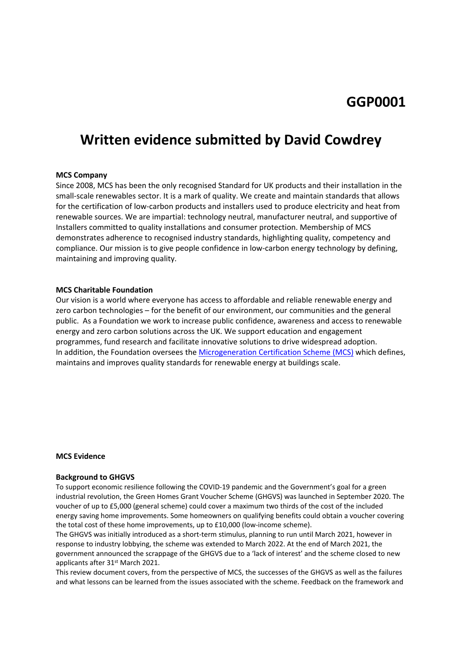# **Written evidence submitted by David Cowdrey**

# **MCS Company**

Since 2008, MCS has been the only recognised Standard for UK products and their installation in the small-scale renewables sector. It is a mark of quality. We create and maintain standards that allows for the certification of low-carbon products and installers used to produce electricity and heat from renewable sources. We are impartial: technology neutral, manufacturer neutral, and supportive of Installers committed to quality installations and consumer protection. Membership of MCS demonstrates adherence to recognised industry standards, highlighting quality, competency and compliance. Our mission is to give people confidence in low-carbon energy technology by defining, maintaining and improving quality.

## **MCS Charitable Foundation**

Our vision is a world where everyone has access to affordable and reliable renewable energy and zero carbon technologies – for the benefit of our environment, our communities and the general public. As a Foundation we work to increase public confidence, awareness and access to renewable energy and zero carbon solutions across the UK. We support education and engagement programmes, fund research and facilitate innovative solutions to drive widespread adoption. In addition, the Foundation oversees the [Microgeneration](https://mcscertified.com/) [Certification](https://mcscertified.com/) [Scheme](https://mcscertified.com/) [\(MCS\)](https://mcscertified.com/) which defines, maintains and improves quality standards for renewable energy at buildings scale.

## **MCS Evidence**

#### **Background to GHGVS**

To support economic resilience following the COVID-19 pandemic and the Government's goal for a green industrial revolution, the Green Homes Grant Voucher Scheme (GHGVS) was launched in September 2020. The voucher of up to £5,000 (general scheme) could cover a maximum two thirds of the cost of the included energy saving home improvements. Some homeowners on qualifying benefits could obtain a voucher covering the total cost of these home improvements, up to £10,000 (low-income scheme).

The GHGVS was initially introduced as a short-term stimulus, planning to run until March 2021, however in response to industry lobbying, the scheme was extended to March 2022. At the end of March 2021, the government announced the scrappage of the GHGVS due to a 'lack of interest' and the scheme closed to new applicants after 31<sup>st</sup> March 2021.

This review document covers, from the perspective of MCS, the successes of the GHGVS as well as the failures and what lessons can be learned from the issues associated with the scheme. Feedback on the framework and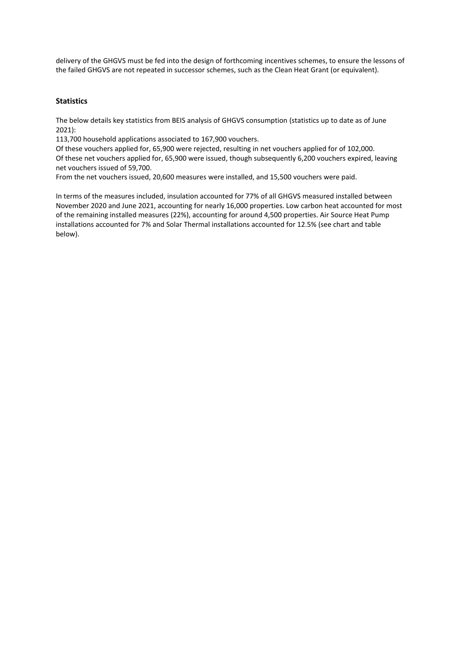delivery of the GHGVS must be fed into the design of forthcoming incentives schemes, to ensure the lessons of the failed GHGVS are not repeated in successor schemes, such as the Clean Heat Grant (or equivalent).

# **Statistics**

The below details key statistics from BEIS analysis of GHGVS consumption (statistics up to date as of June 2021):

113,700 household applications associated to 167,900 vouchers.

Of these vouchers applied for, 65,900 were rejected, resulting in net vouchers applied for of 102,000. Of these net vouchers applied for, 65,900 were issued, though subsequently 6,200 vouchers expired, leaving net vouchers issued of 59,700.

From the net vouchers issued, 20,600 measures were installed, and 15,500 vouchers were paid.

In terms of the measures included, insulation accounted for 77% of all GHGVS measured installed between November 2020 and June 2021, accounting for nearly 16,000 properties. Low carbon heat accounted for most of the remaining installed measures (22%), accounting for around 4,500 properties. Air Source Heat Pump installations accounted for 7% and Solar Thermal installations accounted for 12.5% (see chart and table below).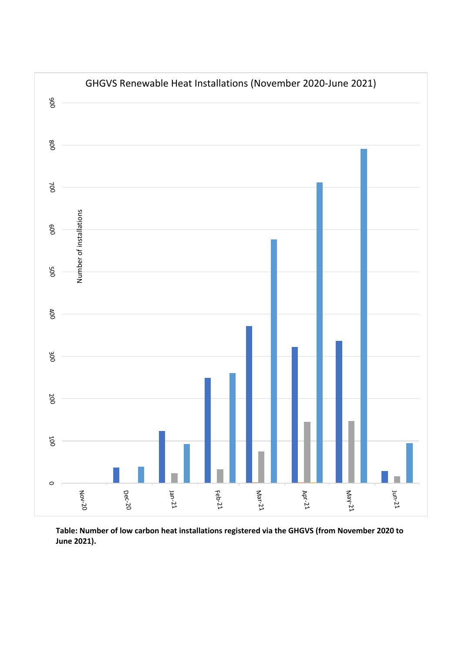

**Table: Number of low carbon heat installations registered via the GHGVS (from November 2020 to June 2021).**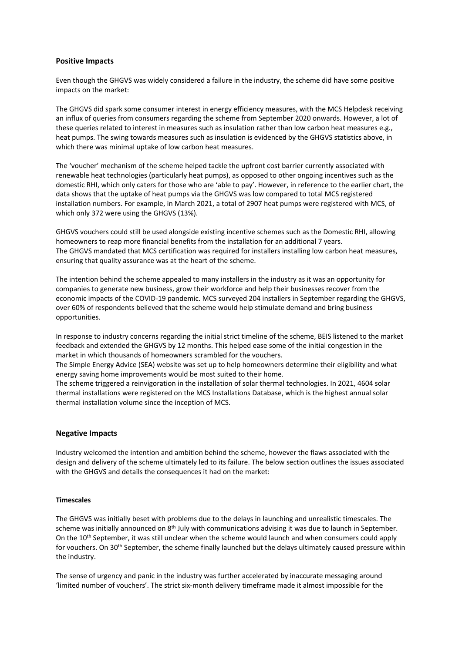# **Positive Impacts**

Even though the GHGVS was widely considered a failure in the industry, the scheme did have some positive impacts on the market:

The GHGVS did spark some consumer interest in energy efficiency measures, with the MCS Helpdesk receiving an influx of queries from consumers regarding the scheme from September 2020 onwards. However, a lot of these queries related to interest in measures such as insulation rather than low carbon heat measures e.g., heat pumps. The swing towards measures such as insulation is evidenced by the GHGVS statistics above, in which there was minimal uptake of low carbon heat measures.

The 'voucher' mechanism of the scheme helped tackle the upfront cost barrier currently associated with renewable heat technologies (particularly heat pumps), as opposed to other ongoing incentives such as the domestic RHI, which only caters for those who are 'able to pay'. However, in reference to the earlier chart, the data shows that the uptake of heat pumps via the GHGVS was low compared to total MCS registered installation numbers. For example, in March 2021, a total of 2907 heat pumps were registered with MCS, of which only 372 were using the GHGVS (13%).

GHGVS vouchers could still be used alongside existing incentive schemes such as the Domestic RHI, allowing homeowners to reap more financial benefits from the installation for an additional 7 years. The GHGVS mandated that MCS certification was required for installers installing low carbon heat measures, ensuring that quality assurance was at the heart of the scheme.

The intention behind the scheme appealed to many installers in the industry as it was an opportunity for companies to generate new business, grow their workforce and help their businesses recover from the economic impacts of the COVID-19 pandemic. MCS surveyed 204 installers in September regarding the GHGVS, over 60% of respondents believed that the scheme would help stimulate demand and bring business opportunities.

In response to industry concerns regarding the initial strict timeline of the scheme, BEIS listened to the market feedback and extended the GHGVS by 12 months. This helped ease some of the initial congestion in the market in which thousands of homeowners scrambled for the vouchers.

The Simple Energy Advice (SEA) website was set up to help homeowners determine their eligibility and what energy saving home improvements would be most suited to their home.

The scheme triggered a reinvigoration in the installation of solar thermal technologies. In 2021, 4604 solar thermal installations were registered on the MCS Installations Database, which is the highest annual solar thermal installation volume since the inception of MCS.

### **Negative Impacts**

Industry welcomed the intention and ambition behind the scheme, however the flaws associated with the design and delivery of the scheme ultimately led to its failure. The below section outlines the issues associated with the GHGVS and details the consequences it had on the market:

### **Timescales**

The GHGVS was initially beset with problems due to the delays in launching and unrealistic timescales. The scheme was initially announced on 8<sup>th</sup> July with communications advising it was due to launch in September. On the 10<sup>th</sup> September, it was still unclear when the scheme would launch and when consumers could apply for vouchers. On 30<sup>th</sup> September, the scheme finally launched but the delays ultimately caused pressure within the industry.

The sense of urgency and panic in the industry was further accelerated by inaccurate messaging around 'limited number of vouchers'. The strict six-month delivery timeframe made it almost impossible for the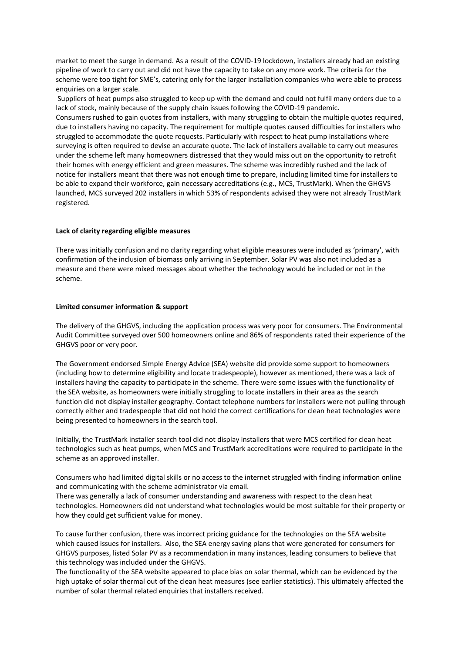market to meet the surge in demand. As a result of the COVID-19 lockdown, installers already had an existing pipeline of work to carry out and did not have the capacity to take on any more work. The criteria for the scheme were too tight for SME's, catering only for the larger installation companies who were able to process enquiries on a larger scale.

Suppliers of heat pumps also struggled to keep up with the demand and could not fulfil many orders due to a lack of stock, mainly because of the supply chain issues following the COVID-19 pandemic.

Consumers rushed to gain quotes from installers, with many struggling to obtain the multiple quotes required, due to installers having no capacity. The requirement for multiple quotes caused difficulties for installers who struggled to accommodate the quote requests. Particularly with respect to heat pump installations where surveying is often required to devise an accurate quote. The lack of installers available to carry out measures under the scheme left many homeowners distressed that they would miss out on the opportunity to retrofit their homes with energy efficient and green measures. The scheme was incredibly rushed and the lack of notice for installers meant that there was not enough time to prepare, including limited time for installers to be able to expand their workforce, gain necessary accreditations (e.g., MCS, TrustMark). When the GHGVS launched, MCS surveyed 202 installers in which 53% of respondents advised they were not already TrustMark registered.

## **Lack of clarity regarding eligible measures**

There was initially confusion and no clarity regarding what eligible measures were included as 'primary', with confirmation of the inclusion of biomass only arriving in September. Solar PV was also not included as a measure and there were mixed messages about whether the technology would be included or not in the scheme.

## **Limited consumer information & support**

The delivery of the GHGVS, including the application process was very poor for consumers. The Environmental Audit Committee surveyed over 500 homeowners online and 86% of respondents rated their experience of the GHGVS poor or very poor.

The Government endorsed Simple Energy Advice (SEA) website did provide some support to homeowners (including how to determine eligibility and locate tradespeople), however as mentioned, there was a lack of installers having the capacity to participate in the scheme. There were some issues with the functionality of the SEA website, as homeowners were initially struggling to locate installers in their area as the search function did not display installer geography. Contact telephone numbers for installers were not pulling through correctly either and tradespeople that did not hold the correct certifications for clean heat technologies were being presented to homeowners in the search tool.

Initially, the TrustMark installer search tool did not display installers that were MCS certified for clean heat technologies such as heat pumps, when MCS and TrustMark accreditations were required to participate in the scheme as an approved installer.

Consumers who had limited digital skills or no access to the internet struggled with finding information online and communicating with the scheme administrator via email.

There was generally a lack of consumer understanding and awareness with respect to the clean heat technologies. Homeowners did not understand what technologies would be most suitable for their property or how they could get sufficient value for money.

To cause further confusion, there was incorrect pricing guidance for the technologies on the SEA website which caused issues for installers. Also, the SEA energy saving plans that were generated for consumers for GHGVS purposes, listed Solar PV as a recommendation in many instances, leading consumers to believe that this technology was included under the GHGVS.

The functionality of the SEA website appeared to place bias on solar thermal, which can be evidenced by the high uptake of solar thermal out of the clean heat measures (see earlier statistics). This ultimately affected the number of solar thermal related enquiries that installers received.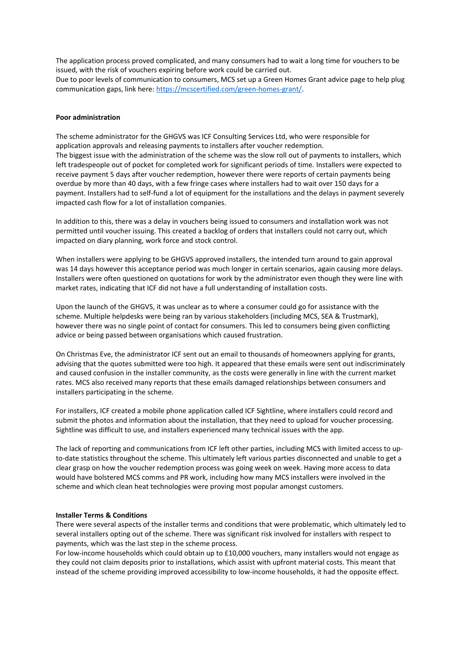The application process proved complicated, and many consumers had to wait a long time for vouchers to be issued, with the risk of vouchers expiring before work could be carried out. Due to poor levels of communication to consumers, MCS set up a Green Homes Grant advice page to help plug communication gaps, link here: <https://mcscertified.com/green-homes-grant/>.

### **Poor administration**

The scheme administrator for the GHGVS was ICF Consulting Services Ltd, who were responsible for application approvals and releasing payments to installers after voucher redemption. The biggest issue with the administration of the scheme was the slow roll out of payments to installers, which left tradespeople out of pocket for completed work for significant periods of time. Installers were expected to receive payment 5 days after voucher redemption, however there were reports of certain payments being overdue by more than 40 days, with a few fringe cases where installers had to wait over 150 days for a payment. Installers had to self-fund a lot of equipment for the installations and the delays in payment severely impacted cash flow for a lot of installation companies.

In addition to this, there was a delay in vouchers being issued to consumers and installation work was not permitted until voucher issuing. This created a backlog of orders that installers could not carry out, which impacted on diary planning, work force and stock control.

When installers were applying to be GHGVS approved installers, the intended turn around to gain approval was 14 days however this acceptance period was much longer in certain scenarios, again causing more delays. Installers were often questioned on quotations for work by the administrator even though they were line with market rates, indicating that ICF did not have a full understanding of installation costs.

Upon the launch of the GHGVS, it was unclear as to where a consumer could go for assistance with the scheme. Multiple helpdesks were being ran by various stakeholders (including MCS, SEA & Trustmark), however there was no single point of contact for consumers. This led to consumers being given conflicting advice or being passed between organisations which caused frustration.

On Christmas Eve, the administrator ICF sent out an email to thousands of homeowners applying for grants, advising that the quotes submitted were too high. It appeared that these emails were sent out indiscriminately and caused confusion in the installer community, as the costs were generally in line with the current market rates. MCS also received many reports that these emails damaged relationships between consumers and installers participating in the scheme.

For installers, ICF created a mobile phone application called ICF Sightline, where installers could record and submit the photos and information about the installation, that they need to upload for voucher processing. Sightline was difficult to use, and installers experienced many technical issues with the app.

The lack of reporting and communications from ICF left other parties, including MCS with limited access to upto-date statistics throughout the scheme. This ultimately left various parties disconnected and unable to get a clear grasp on how the voucher redemption process was going week on week. Having more access to data would have bolstered MCS comms and PR work, including how many MCS installers were involved in the scheme and which clean heat technologies were proving most popular amongst customers.

#### **Installer Terms & Conditions**

There were several aspects of the installer terms and conditions that were problematic, which ultimately led to several installers opting out of the scheme. There was significant risk involved for installers with respect to payments, which was the last step in the scheme process.

For low-income households which could obtain up to £10,000 vouchers, many installers would not engage as they could not claim deposits prior to installations, which assist with upfront material costs. This meant that instead of the scheme providing improved accessibility to low-income households, it had the opposite effect.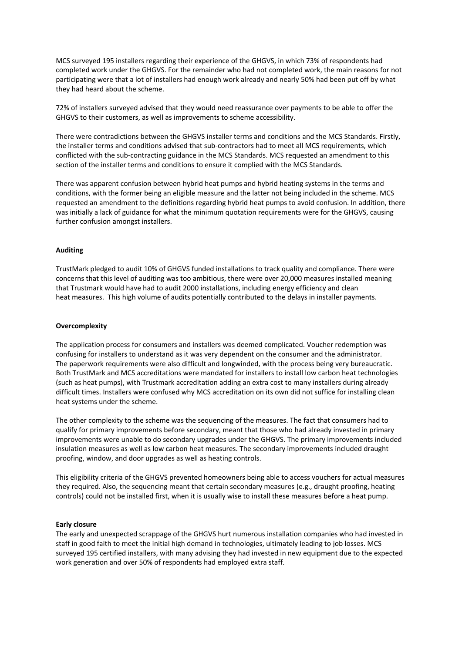MCS surveyed 195 installers regarding their experience of the GHGVS, in which 73% of respondents had completed work under the GHGVS. For the remainder who had not completed work, the main reasons for not participating were that a lot of installers had enough work already and nearly 50% had been put off by what they had heard about the scheme.

72% of installers surveyed advised that they would need reassurance over payments to be able to offer the GHGVS to their customers, as well as improvements to scheme accessibility.

There were contradictions between the GHGVS installer terms and conditions and the MCS Standards. Firstly, the installer terms and conditions advised that sub-contractors had to meet all MCS requirements, which conflicted with the sub-contracting guidance in the MCS Standards. MCS requested an amendment to this section of the installer terms and conditions to ensure it complied with the MCS Standards.

There was apparent confusion between hybrid heat pumps and hybrid heating systems in the terms and conditions, with the former being an eligible measure and the latter not being included in the scheme. MCS requested an amendment to the definitions regarding hybrid heat pumps to avoid confusion. In addition, there was initially a lack of guidance for what the minimum quotation requirements were for the GHGVS, causing further confusion amongst installers.

## **Auditing**

TrustMark pledged to audit 10% of GHGVS funded installations to track quality and compliance. There were concerns that this level of auditing was too ambitious, there were over 20,000 measures installed meaning that Trustmark would have had to audit 2000 installations, including energy efficiency and clean heat measures. This high volume of audits potentially contributed to the delays in installer payments.

### **Overcomplexity**

The application process for consumers and installers was deemed complicated. Voucher redemption was confusing for installers to understand as it was very dependent on the consumer and the administrator. The paperwork requirements were also difficult and longwinded, with the process being very bureaucratic. Both TrustMark and MCS accreditations were mandated for installers to install low carbon heat technologies (such as heat pumps), with Trustmark accreditation adding an extra cost to many installers during already difficult times. Installers were confused why MCS accreditation on its own did not suffice for installing clean heat systems under the scheme.

The other complexity to the scheme was the sequencing of the measures. The fact that consumers had to qualify for primary improvements before secondary, meant that those who had already invested in primary improvements were unable to do secondary upgrades under the GHGVS. The primary improvements included insulation measures as well as low carbon heat measures. The secondary improvements included draught proofing, window, and door upgrades as well as heating controls.

This eligibility criteria of the GHGVS prevented homeowners being able to access vouchers for actual measures they required. Also, the sequencing meant that certain secondary measures (e.g., draught proofing, heating controls) could not be installed first, when it is usually wise to install these measures before a heat pump.

### **Early closure**

The early and unexpected scrappage of the GHGVS hurt numerous installation companies who had invested in staff in good faith to meet the initial high demand in technologies, ultimately leading to job losses. MCS surveyed 195 certified installers, with many advising they had invested in new equipment due to the expected work generation and over 50% of respondents had employed extra staff.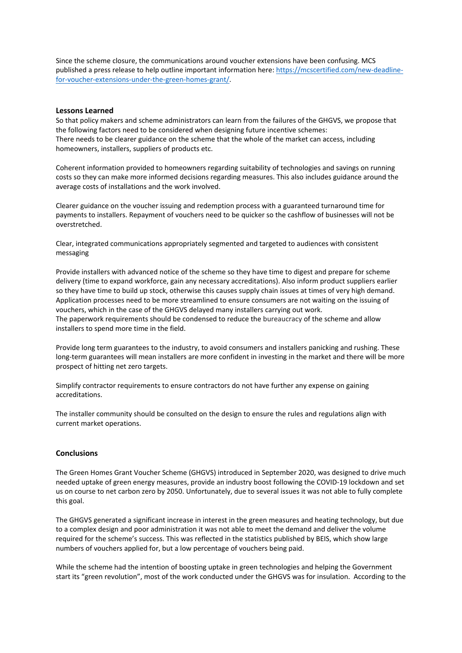Since the scheme closure, the communications around voucher extensions have been confusing. MCS published a press release to help outline important information here: [https://mcscertified.com/new-deadline](https://mcscertified.com/new-deadline-for-voucher-extensions-under-the-green-homes-grant/)[for-voucher-extensions-under-the-green-homes-grant/.](https://mcscertified.com/new-deadline-for-voucher-extensions-under-the-green-homes-grant/)

## **Lessons Learned**

So that policy makers and scheme administrators can learn from the failures of the GHGVS, we propose that the following factors need to be considered when designing future incentive schemes: There needs to be clearer guidance on the scheme that the whole of the market can access, including homeowners, installers, suppliers of products etc.

Coherent information provided to homeowners regarding suitability of technologies and savings on running costs so they can make more informed decisions regarding measures. This also includes guidance around the average costs of installations and the work involved.

Clearer guidance on the voucher issuing and redemption process with a guaranteed turnaround time for payments to installers. Repayment of vouchers need to be quicker so the cashflow of businesses will not be overstretched.

Clear, integrated communications appropriately segmented and targeted to audiences with consistent messaging

Provide installers with advanced notice of the scheme so they have time to digest and prepare for scheme delivery (time to expand workforce, gain any necessary accreditations). Also inform product suppliers earlier so they have time to build up stock, otherwise this causes supply chain issues at times of very high demand. Application processes need to be more streamlined to ensure consumers are not waiting on the issuing of vouchers, which in the case of the GHGVS delayed many installers carrying out work. The paperwork requirements should be condensed to reduce the bureaucracy of the scheme and allow installers to spend more time in the field.

Provide long term guarantees to the industry, to avoid consumers and installers panicking and rushing. These long-term guarantees will mean installers are more confident in investing in the market and there will be more prospect of hitting net zero targets.

Simplify contractor requirements to ensure contractors do not have further any expense on gaining accreditations.

The installer community should be consulted on the design to ensure the rules and regulations align with current market operations.

# **Conclusions**

The Green Homes Grant Voucher Scheme (GHGVS) introduced in September 2020, was designed to drive much needed uptake of green energy measures, provide an industry boost following the COVID-19 lockdown and set us on course to net carbon zero by 2050. Unfortunately, due to several issues it was not able to fully complete this goal.

The GHGVS generated a significant increase in interest in the green measures and heating technology, but due to a complex design and poor administration it was not able to meet the demand and deliver the volume required for the scheme's success. This was reflected in the statistics published by BEIS, which show large numbers of vouchers applied for, but a low percentage of vouchers being paid.

While the scheme had the intention of boosting uptake in green technologies and helping the Government start its "green revolution", most of the work conducted under the GHGVS was for insulation. According to the